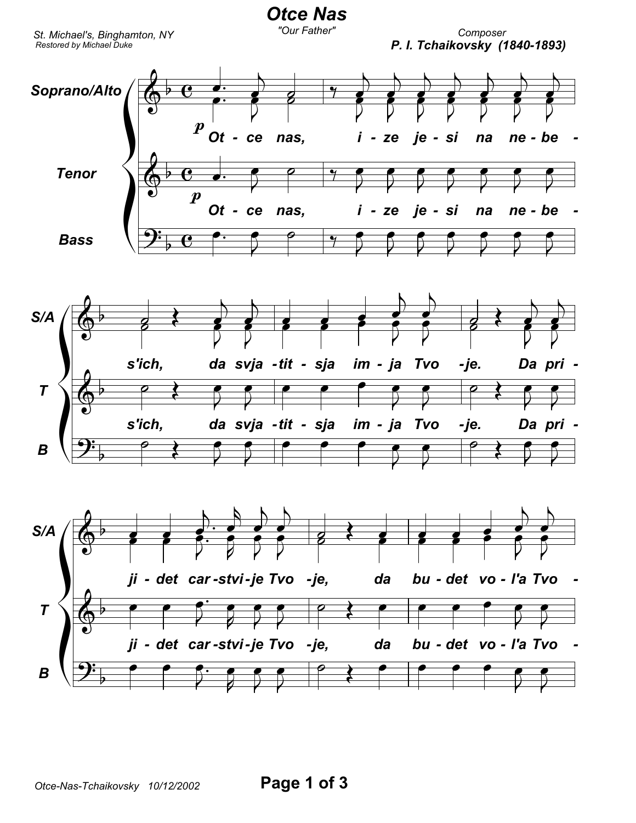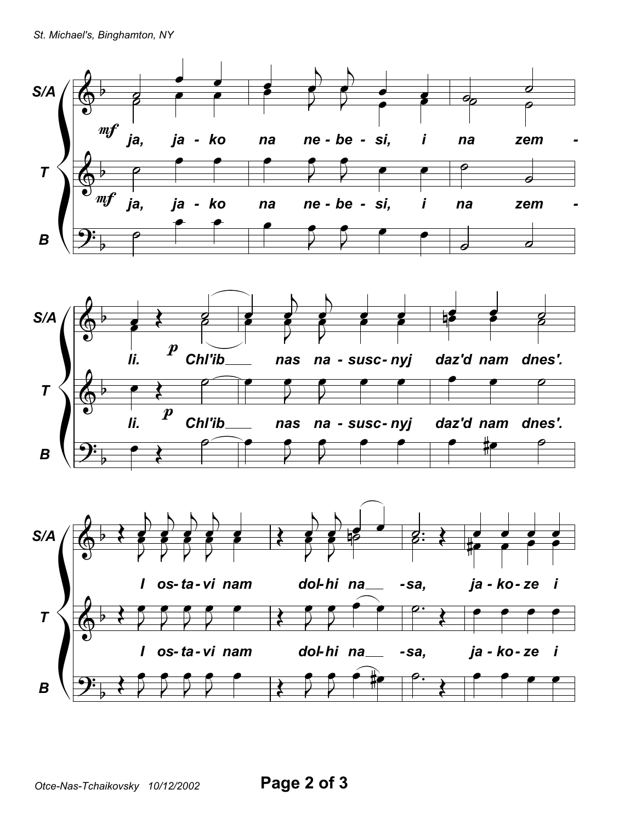